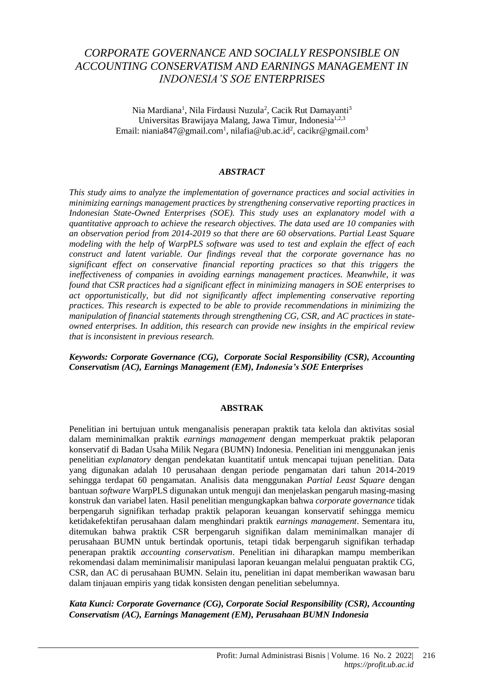## *CORPORATE GOVERNANCE AND SOCIALLY RESPONSIBLE ON ACCOUNTING CONSERVATISM AND EARNINGS MANAGEMENT IN INDONESIA'S SOE ENTERPRISES*

Nia Mardiana<sup>1</sup>, Nila Firdausi Nuzula<sup>2</sup>, Cacik Rut Damayanti<sup>3</sup> Universitas Brawijaya Malang, Jawa Timur, Indonesia<sup>1,2,3</sup> Email: [niania847@gmail.com](mailto:niania847@gmail.com1)<sup>1</sup>[, nilafia@ub.ac.id](mailto:nilafia@ub.ac.id2)<sup>2</sup>[, cacikr@gmail.com](mailto:cacikr@gmail.com3)<sup>3</sup>

#### *ABSTRACT*

*This study aims to analyze the implementation of governance practices and social activities in minimizing earnings management practices by strengthening conservative reporting practices in Indonesian State-Owned Enterprises (SOE). This study uses an explanatory model with a quantitative approach to achieve the research objectives. The data used are 10 companies with an observation period from 2014-2019 so that there are 60 observations. Partial Least Square modeling with the help of WarpPLS software was used to test and explain the effect of each construct and latent variable. Our findings reveal that the corporate governance has no significant effect on conservative financial reporting practices so that this triggers the ineffectiveness of companies in avoiding earnings management practices. Meanwhile, it was found that CSR practices had a significant effect in minimizing managers in SOE enterprises to act opportunistically, but did not significantly affect implementing conservative reporting practices. This research is expected to be able to provide recommendations in minimizing the manipulation of financial statements through strengthening CG, CSR, and AC practices in stateowned enterprises. In addition, this research can provide new insights in the empirical review that is inconsistent in previous research.*

*Keywords: Corporate Governance (CG), Corporate Social Responsibility (CSR), Accounting Conservatism (AC), Earnings Management (EM), Indonesia's SOE Enterprises*

#### **ABSTRAK**

Penelitian ini bertujuan untuk menganalisis penerapan praktik tata kelola dan aktivitas sosial dalam meminimalkan praktik *earnings management* dengan memperkuat praktik pelaporan konservatif di Badan Usaha Milik Negara (BUMN) Indonesia. Penelitian ini menggunakan jenis penelitian *explanatory* dengan pendekatan kuantitatif untuk mencapai tujuan penelitian. Data yang digunakan adalah 10 perusahaan dengan periode pengamatan dari tahun 2014-2019 sehingga terdapat 60 pengamatan. Analisis data menggunakan *Partial Least Square* dengan bantuan *software* WarpPLS digunakan untuk menguji dan menjelaskan pengaruh masing-masing konstruk dan variabel laten. Hasil penelitian mengungkapkan bahwa *corporate governance* tidak berpengaruh signifikan terhadap praktik pelaporan keuangan konservatif sehingga memicu ketidakefektifan perusahaan dalam menghindari praktik *earnings management*. Sementara itu, ditemukan bahwa praktik CSR berpengaruh signifikan dalam meminimalkan manajer di perusahaan BUMN untuk bertindak oportunis, tetapi tidak berpengaruh signifikan terhadap penerapan praktik *accounting conservatism*. Penelitian ini diharapkan mampu memberikan rekomendasi dalam meminimalisir manipulasi laporan keuangan melalui penguatan praktik CG, CSR, dan AC di perusahaan BUMN. Selain itu, penelitian ini dapat memberikan wawasan baru dalam tinjauan empiris yang tidak konsisten dengan penelitian sebelumnya.

*Kata Kunci: Corporate Governance (CG), Corporate Social Responsibility (CSR), Accounting Conservatism (AC), Earnings Management (EM), Perusahaan BUMN Indonesia*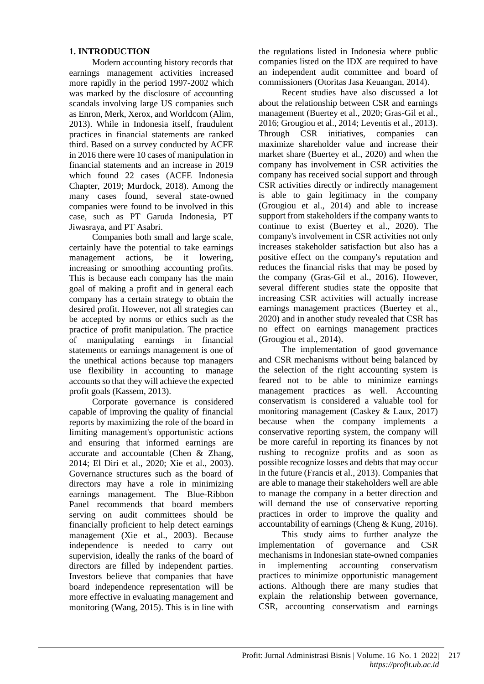#### **1. INTRODUCTION**

Modern accounting history records that earnings management activities increased more rapidly in the period 1997-2002 which was marked by the disclosure of accounting scandals involving large US companies such as Enron, Merk, Xerox, and Worldcom (Alim, 2013). While in Indonesia itself, fraudulent practices in financial statements are ranked third. Based on a survey conducted by ACFE in 2016 there were 10 cases of manipulation in financial statements and an increase in 2019 which found 22 cases (ACFE Indonesia Chapter, 2019; Murdock, 2018). Among the many cases found, several state-owned companies were found to be involved in this case, such as PT Garuda Indonesia, PT Jiwasraya, and PT Asabri.

Companies both small and large scale, certainly have the potential to take earnings management actions, be it lowering, increasing or smoothing accounting profits. This is because each company has the main goal of making a profit and in general each company has a certain strategy to obtain the desired profit. However, not all strategies can be accepted by norms or ethics such as the practice of profit manipulation. The practice of manipulating earnings in financial statements or earnings management is one of the unethical actions because top managers use flexibility in accounting to manage accounts so that they will achieve the expected profit goals (Kassem, 2013).

Corporate governance is considered capable of improving the quality of financial reports by maximizing the role of the board in limiting management's opportunistic actions and ensuring that informed earnings are accurate and accountable (Chen & Zhang, 2014; El Diri et al., 2020; Xie et al., 2003). Governance structures such as the board of directors may have a role in minimizing earnings management. The Blue-Ribbon Panel recommends that board members serving on audit committees should be financially proficient to help detect earnings management (Xie et al., 2003). Because independence is needed to carry out supervision, ideally the ranks of the board of directors are filled by independent parties. Investors believe that companies that have board independence representation will be more effective in evaluating management and monitoring (Wang, 2015). This is in line with the regulations listed in Indonesia where public companies listed on the IDX are required to have an independent audit committee and board of commissioners (Otoritas Jasa Keuangan, 2014).

Recent studies have also discussed a lot about the relationship between CSR and earnings management (Buertey et al., 2020; Gras-Gil et al., 2016; Grougiou et al., 2014; Leventis et al., 2013). Through CSR initiatives, companies can maximize shareholder value and increase their market share (Buertey et al., 2020) and when the company has involvement in CSR activities the company has received social support and through CSR activities directly or indirectly management is able to gain legitimacy in the company (Grougiou et al., 2014) and able to increase support from stakeholders if the company wants to continue to exist (Buertey et al., 2020). The company's involvement in CSR activities not only increases stakeholder satisfaction but also has a positive effect on the company's reputation and reduces the financial risks that may be posed by the company (Gras-Gil et al., 2016). However, several different studies state the opposite that increasing CSR activities will actually increase earnings management practices (Buertey et al., 2020) and in another study revealed that CSR has no effect on earnings management practices (Grougiou et al., 2014).

The implementation of good governance and CSR mechanisms without being balanced by the selection of the right accounting system is feared not to be able to minimize earnings management practices as well. Accounting conservatism is considered a valuable tool for monitoring management (Caskey & Laux, 2017) because when the company implements a conservative reporting system, the company will be more careful in reporting its finances by not rushing to recognize profits and as soon as possible recognize losses and debts that may occur in the future (Francis et al., 2013). Companies that are able to manage their stakeholders well are able to manage the company in a better direction and will demand the use of conservative reporting practices in order to improve the quality and accountability of earnings (Cheng & Kung, 2016).

This study aims to further analyze the implementation of governance and CSR mechanisms in Indonesian state-owned companies in implementing accounting conservatism practices to minimize opportunistic management actions. Although there are many studies that explain the relationship between governance, CSR, accounting conservatism and earnings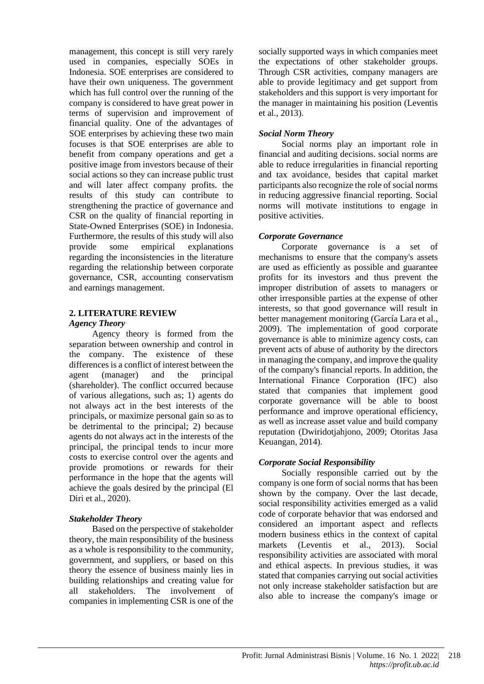management, this concept is still very rarely used in companies, especially SOEs in Indonesia. SOE enterprises are considered to have their own uniqueness. The government which has full control over the running of the company is considered to have great power in terms of supervision and improvement of financial quality. One of the advantages of SOE enterprises by achieving these two main focuses is that SOE enterprises are able to benefit from company operations and get a positive image from investors because of their social actions so they can increase public trust and will later affect company profits. the results of this study can contribute to strengthening the practice of governance and CSR on the quality of financial reporting in State-Owned Enterprises (SOE) in Indonesia. Furthermore, the results of this study will also provide some empirical explanations regarding the inconsistencies in the literature regarding the relationship between corporate governance, CSR, accounting conservatism and earnings management.

#### **2. LITERATURE REVIEW** *Agency Theory*

Agency theory is formed from the separation between ownership and control in the company. The existence of these differences is a conflict of interest between the agent (manager) and the principal (shareholder). The conflict occurred because of various allegations, such as; 1) agents do not always act in the best interests of the principals, or maximize personal gain so as to be detrimental to the principal; 2) because agents do not always act in the interests of the principal, the principal tends to incur more costs to exercise control over the agents and provide promotions or rewards for their performance in the hope that the agents will achieve the goals desired by the principal (El Diri et al., 2020).

#### *Stakeholder Theory*

Based on the perspective of stakeholder theory, the main responsibility of the business as a whole is responsibility to the community, government, and suppliers, or based on this theory the essence of business mainly lies in building relationships and creating value for all stakeholders. The involvement of companies in implementing CSR is one of the socially supported ways in which companies meet the expectations of other stakeholder groups. Through CSR activities, company managers are able to provide legitimacy and get support from stakeholders and this support is very important for the manager in maintaining his position (Leventis et al., 2013).

#### *Social Norm Theory*

Social norms play an important role in financial and auditing decisions. social norms are able to reduce irregularities in financial reporting and tax avoidance, besides that capital market participants also recognize the role of social norms in reducing aggressive financial reporting. Social norms will motivate institutions to engage in positive activities.

## *Corporate Governance*

Corporate governance is a set of mechanisms to ensure that the company's assets are used as efficiently as possible and guarantee profits for its investors and thus prevent the improper distribution of assets to managers or other irresponsible parties at the expense of other interests, so that good governance will result in better management monitoring (García Lara et al., 2009). The implementation of good corporate governance is able to minimize agency costs, can prevent acts of abuse of authority by the directors in managing the company, and improve the quality of the company's financial reports. In addition, the International Finance Corporation (IFC) also stated that companies that implement good corporate governance will be able to boost performance and improve operational efficiency, as well as increase asset value and build company reputation (Dwiridotjahjono, 2009; Otoritas Jasa Keuangan, 2014).

## *Corporate Social Responsibility*

Socially responsible carried out by the company is one form of social norms that has been shown by the company. Over the last decade, social responsibility activities emerged as a valid code of corporate behavior that was endorsed and considered an important aspect and reflects modern business ethics in the context of capital markets (Leventis et al., 2013). Social responsibility activities are associated with moral and ethical aspects. In previous studies, it was stated that companies carrying out social activities not only increase stakeholder satisfaction but are also able to increase the company's image or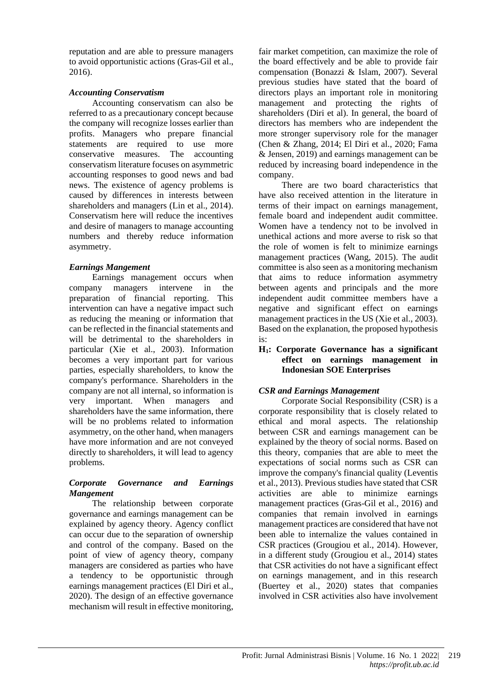reputation and are able to pressure managers to avoid opportunistic actions (Gras-Gil et al., 2016).

#### *Accounting Conservatism*

Accounting conservatism can also be referred to as a precautionary concept because the company will recognize losses earlier than profits. Managers who prepare financial statements are required to use more conservative measures. The accounting conservatism literature focuses on asymmetric accounting responses to good news and bad news. The existence of agency problems is caused by differences in interests between shareholders and managers (Lin et al., 2014). Conservatism here will reduce the incentives and desire of managers to manage accounting numbers and thereby reduce information asymmetry.

## *Earnings Mangement*

Earnings management occurs when company managers intervene in the preparation of financial reporting. This intervention can have a negative impact such as reducing the meaning or information that can be reflected in the financial statements and will be detrimental to the shareholders in particular (Xie et al., 2003). Information becomes a very important part for various parties, especially shareholders, to know the company's performance. Shareholders in the company are not all internal, so information is very important. When managers and shareholders have the same information, there will be no problems related to information asymmetry, on the other hand, when managers have more information and are not conveyed directly to shareholders, it will lead to agency problems.

#### *Corporate Governance and Earnings Mangement*

The relationship between corporate governance and earnings management can be explained by agency theory. Agency conflict can occur due to the separation of ownership and control of the company. Based on the point of view of agency theory, company managers are considered as parties who have a tendency to be opportunistic through earnings management practices (El Diri et al., 2020). The design of an effective governance mechanism will result in effective monitoring,

fair market competition, can maximize the role of the board effectively and be able to provide fair compensation (Bonazzi & Islam, 2007). Several previous studies have stated that the board of directors plays an important role in monitoring management and protecting the rights of shareholders (Diri et al). In general, the board of directors has members who are independent the more stronger supervisory role for the manager (Chen & Zhang, 2014; El Diri et al., 2020; Fama & Jensen, 2019) and earnings management can be reduced by increasing board independence in the company.

There are two board characteristics that have also received attention in the literature in terms of their impact on earnings management, female board and independent audit committee. Women have a tendency not to be involved in unethical actions and more averse to risk so that the role of women is felt to minimize earnings management practices (Wang, 2015). The audit committee is also seen as a monitoring mechanism that aims to reduce information asymmetry between agents and principals and the more independent audit committee members have a negative and significant effect on earnings management practices in the US (Xie et al., 2003). Based on the explanation, the proposed hypothesis is:

#### **H1: Corporate Governance has a significant effect on earnings management in Indonesian SOE Enterprises**

#### *CSR and Earnings Management*

Corporate Social Responsibility (CSR) is a corporate responsibility that is closely related to ethical and moral aspects. The relationship between CSR and earnings management can be explained by the theory of social norms. Based on this theory, companies that are able to meet the expectations of social norms such as CSR can improve the company's financial quality (Leventis et al., 2013). Previous studies have stated that CSR activities are able to minimize earnings management practices (Gras-Gil et al., 2016) and companies that remain involved in earnings management practices are considered that have not been able to internalize the values contained in CSR practices (Grougiou et al., 2014). However, in a different study (Grougiou et al., 2014) states that CSR activities do not have a significant effect on earnings management, and in this research (Buertey et al., 2020) states that companies involved in CSR activities also have involvement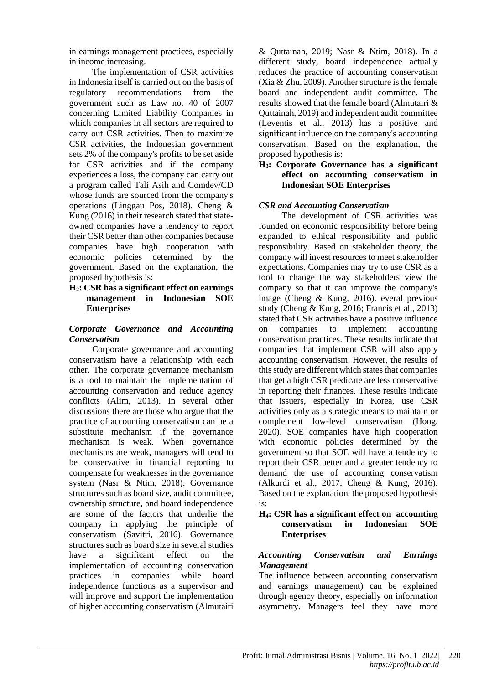in earnings management practices, especially in income increasing.

The implementation of CSR activities in Indonesia itself is carried out on the basis of regulatory recommendations from the government such as Law no. 40 of 2007 concerning Limited Liability Companies in which companies in all sectors are required to carry out CSR activities. Then to maximize CSR activities, the Indonesian government sets 2% of the company's profits to be set aside for CSR activities and if the company experiences a loss, the company can carry out a program called Tali Asih and Comdev/CD whose funds are sourced from the company's operations (Linggau Pos, 2018). Cheng & Kung (2016) in their research stated that stateowned companies have a tendency to report their CSR better than other companies because companies have high cooperation with economic policies determined by the government. Based on the explanation, the proposed hypothesis is:

#### **H2: CSR has a significant effect on earnings management in Indonesian SOE Enterprises**

#### *Corporate Governance and Accounting Conservatism*

Corporate governance and accounting conservatism have a relationship with each other. The corporate governance mechanism is a tool to maintain the implementation of accounting conservation and reduce agency conflicts (Alim, 2013). In several other discussions there are those who argue that the practice of accounting conservatism can be a substitute mechanism if the governance mechanism is weak. When governance mechanisms are weak, managers will tend to be conservative in financial reporting to compensate for weaknesses in the governance system (Nasr & Ntim, 2018). Governance structures such as board size, audit committee, ownership structure, and board independence are some of the factors that underlie the company in applying the principle of conservatism (Savitri, 2016). Governance structures such as board size in several studies have a significant effect on the implementation of accounting conservation practices in companies while board independence functions as a supervisor and will improve and support the implementation of higher accounting conservatism (Almutairi

& Quttainah, 2019; Nasr & Ntim, 2018). In a different study, board independence actually reduces the practice of accounting conservatism (Xia & Zhu, 2009). Another structure is the female board and independent audit committee. The results showed that the female board (Almutairi & Quttainah, 2019) and independent audit committee (Leventis et al., 2013) has a positive and significant influence on the company's accounting conservatism. Based on the explanation, the proposed hypothesis is:

#### **H3: Corporate Governance has a significant effect on accounting conservatism in Indonesian SOE Enterprises**

## *CSR and Accounting Conservatism*

The development of CSR activities was founded on economic responsibility before being expanded to ethical responsibility and public responsibility. Based on stakeholder theory, the company will invest resources to meet stakeholder expectations. Companies may try to use CSR as a tool to change the way stakeholders view the company so that it can improve the company's image (Cheng & Kung, 2016). everal previous study (Cheng & Kung, 2016; Francis et al., 2013) stated that CSR activities have a positive influence on companies to implement accounting conservatism practices. These results indicate that companies that implement CSR will also apply accounting conservatism. However, the results of this study are different which states that companies that get a high CSR predicate are less conservative in reporting their finances. These results indicate that issuers, especially in Korea, use CSR activities only as a strategic means to maintain or complement low-level conservatism (Hong, 2020). SOE companies have high cooperation with economic policies determined by the government so that SOE will have a tendency to report their CSR better and a greater tendency to demand the use of accounting conservatism (Alkurdi et al., 2017; Cheng & Kung, 2016). Based on the explanation, the proposed hypothesis is:

#### **H4: CSR has a significant effect on accounting conservatism in Indonesian SOE Enterprises**

#### *Accounting Conservatism and Earnings Management*

The influence between accounting conservatism and earnings management) can be explained through agency theory, especially on information asymmetry. Managers feel they have more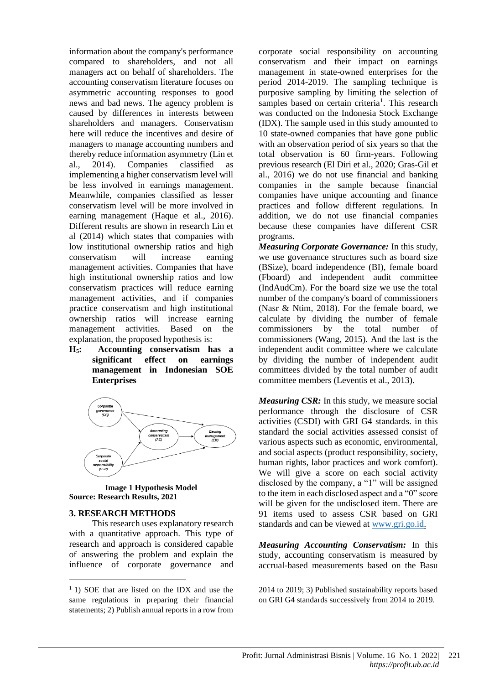information about the company's performance compared to shareholders, and not all managers act on behalf of shareholders. The accounting conservatism literature focuses on asymmetric accounting responses to good news and bad news. The agency problem is caused by differences in interests between shareholders and managers. Conservatism here will reduce the incentives and desire of managers to manage accounting numbers and thereby reduce information asymmetry (Lin et al., 2014). Companies classified as implementing a higher conservatism level will be less involved in earnings management. Meanwhile, companies classified as lesser conservatism level will be more involved in earning management (Haque et al., 2016). Different results are shown in research Lin et al (2014) which states that companies with low institutional ownership ratios and high conservatism will increase earning management activities. Companies that have high institutional ownership ratios and low conservatism practices will reduce earning management activities, and if companies practice conservatism and high institutional ownership ratios will increase earning management activities. Based on the explanation, the proposed hypothesis is:

**H5: Accounting conservatism has a significant effect on earnings management in Indonesian SOE Enterprises**



#### **Image 1 Hypothesis Model Source: Research Results, 2021**

#### **3. RESEARCH METHODS**

This research uses explanatory research with a quantitative approach. This type of research and approach is considered capable of answering the problem and explain the influence of corporate governance and

corporate social responsibility on accounting conservatism and their impact on earnings management in state-owned enterprises for the period 2014-2019. The sampling technique is purposive sampling by limiting the selection of samples based on certain criteria<sup>1</sup>. This research was conducted on the Indonesia Stock Exchange (IDX). The sample used in this study amounted to 10 state-owned companies that have gone public with an observation period of six years so that the total observation is 60 firm-years. Following previous research (El Diri et al., 2020; Gras-Gil et al., 2016) we do not use financial and banking companies in the sample because financial companies have unique accounting and finance practices and follow different regulations. In addition, we do not use financial companies because these companies have different CSR programs.

*Measuring Corporate Governance:* In this study, we use governance structures such as board size (BSize), board independence (BI), female board (Fboard) and independent audit committee (IndAudCm). For the board size we use the total number of the company's board of commissioners (Nasr & Ntim, 2018). For the female board, we calculate by dividing the number of female commissioners by the total number of commissioners (Wang, 2015). And the last is the independent audit committee where we calculate by dividing the number of independent audit committees divided by the total number of audit committee members (Leventis et al., 2013).

*Measuring CSR:* In this study, we measure social performance through the disclosure of CSR activities (CSDI) with GRI G4 standards. in this standard the social activities assessed consist of various aspects such as economic, environmental, and social aspects (product responsibility, society, human rights, labor practices and work comfort). We will give a score on each social activity disclosed by the company, a "1" will be assigned to the item in each disclosed aspect and a "0" score will be given for the undisclosed item. There are 91 items used to assess CSR based on GRI standards and can be viewed at [www.gri.go.id.](http://www.gri.go.id/)

*Measuring Accounting Conservatism:* In this study, accounting conservatism is measured by accrual-based measurements based on the Basu

2014 to 2019; 3) Published sustainability reports based on GRI G4 standards successively from 2014 to 2019.

<sup>&</sup>lt;sup>1</sup> 1) SOE that are listed on the IDX and use the same regulations in preparing their financial statements; 2) Publish annual reports in a row from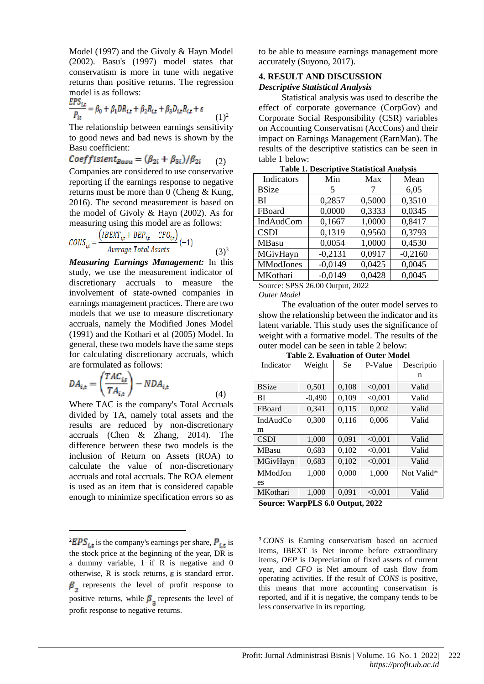Model (1997) and the Givoly & Hayn Model (2002). Basu's (1997) model states that conservatism is more in tune with negative returns than positive returns. The regression model is as follows:

$$
\frac{EPS_{i,t}}{P_{it}} = \beta_0 + \beta_1 DR_{i,t} + \beta_2 R_{i,t} + \beta_3 D_{i,t} R_{i,t} + \varepsilon
$$
 (1)<sup>2</sup>

The relationship between earnings sensitivity to good news and bad news is shown by the Basu coefficient:

$$
Coeffisient_{Basu} = (\beta_{2i} + \beta_{3i})/\beta_{2i} \qquad (2)
$$

Companies are considered to use conservative reporting if the earnings response to negative returns must be more than 0 (Cheng & Kung, 2016). The second measurement is based on the model of Givoly & Hayn (2002). As for measuring using this model are as follows:

$$
CONS_{it} = \frac{(IBEXT_{it} + DEP_{it} - CFO_{it})}{Average Total Assets} (-1)
$$
\n(3)<sup>3</sup>

*Measuring Earnings Management:* In this study, we use the measurement indicator of discretionary accruals to measure the involvement of state-owned companies in earnings management practices. There are two models that we use to measure discretionary accruals, namely the Modified Jones Model (1991) and the Kothari et al (2005) Model. In general, these two models have the same steps for calculating discretionary accruals, which are formulated as follows:

$$
DA_{i,t} = \left(\frac{TAC_{i,t}}{TA_{i,t}}\right) - NDA_{i,t}
$$
\n<sup>(4)</sup>

Where TAC is the company's Total Accruals divided by TA, namely total assets and the results are reduced by non-discretionary accruals (Chen & Zhang, 2014). The difference between these two models is the inclusion of Return on Assets (ROA) to calculate the value of non-discretionary accruals and total accruals. The ROA element is used as an item that is considered capable enough to minimize specification errors so as to be able to measure earnings management more accurately (Suyono, 2017).

# **4. RESULT AND DISCUSSION**

*Descriptive Statistical Analysis*

Statistical analysis was used to describe the effect of corporate governance (CorpGov) and Corporate Social Responsibility (CSR) variables on Accounting Conservatism (AccCons) and their impact on Earnings Management (EarnMan). The results of the descriptive statistics can be seen in table 1 below:

| Table 1. Descriptive Statistical Alialysis |           |        |           |  |  |
|--------------------------------------------|-----------|--------|-----------|--|--|
| Indicators                                 | Min       | Max    | Mean      |  |  |
| <b>BSize</b>                               | 5         | 7      | 6,05      |  |  |
| BI                                         | 0,2857    | 0,5000 | 0,3510    |  |  |
| FBoard                                     | 0,0000    | 0,3333 | 0,0345    |  |  |
| IndAudCom                                  | 0,1667    | 1,0000 | 0,8417    |  |  |
| <b>CSDI</b>                                | 0,1319    | 0,9560 | 0.3793    |  |  |
| <b>MBasu</b>                               | 0,0054    | 1,0000 | 0,4530    |  |  |
| MGivHayn                                   | $-0,2131$ | 0,0917 | $-0,2160$ |  |  |
| <b>MModJones</b>                           | $-0,0149$ | 0,0425 | 0,0045    |  |  |
| MKothari                                   | $-0,0149$ | 0,0428 | 0,0045    |  |  |

**Table 1. Descriptive Statistical Analysis**

Source: SPSS 26.00 Output, 2022

*Outer Model*

The evaluation of the outer model serves to show the relationship between the indicator and its latent variable. This study uses the significance of weight with a formative model. The results of the outer model can be seen in table 2 below:

| rabic 2. Evaluation of Outer Mouch |          |           |         |            |  |  |
|------------------------------------|----------|-----------|---------|------------|--|--|
| Indicator                          | Weight   | <b>Se</b> | P-Value | Descriptio |  |  |
|                                    |          |           |         | n          |  |  |
| <b>BSize</b>                       | 0,501    | 0,108     | < 0.001 | Valid      |  |  |
| BI                                 | $-0,490$ | 0,109     | < 0.001 | Valid      |  |  |
| FBoard                             | 0,341    | 0,115     | 0,002   | Valid      |  |  |
| <b>IndAudCo</b>                    | 0,300    | 0,116     | 0,006   | Valid      |  |  |
| m                                  |          |           |         |            |  |  |
| <b>CSDI</b>                        | 1,000    | 0,091     | < 0.001 | Valid      |  |  |
| <b>MBasu</b>                       | 0,683    | 0,102     | < 0.001 | Valid      |  |  |
| MGivHayn                           | 0,683    | 0,102     | < 0.001 | Valid      |  |  |
| MModJon                            | 1,000    | 0,000     | 1,000   | Not Valid* |  |  |
| es                                 |          |           |         |            |  |  |
| MKothari                           | 1,000    | 0,091     | < 0.001 | Valid      |  |  |
|                                    |          |           |         |            |  |  |

**Table 2. Evaluation of Outer Model**

**Source: WarpPLS 6.0 Output, 2022**

<sup>3</sup> *CONS* is Earning conservatism based on accrued items, IBEXT is Net income before extraordinary items, *DEP* is Depreciation of fixed assets of current year, and *CFO* is Net amount of cash flow from operating activities. If the result of *CONS* is positive, this means that more accounting conservatism is reported, and if it is negative, the company tends to be less conservative in its reporting.

<sup>&</sup>lt;sup>2</sup>EPS<sub>it</sub> is the company's earnings per share,  $P_{i,t}$  is the stock price at the beginning of the year, DR is a dummy variable, 1 if R is negative and 0 otherwise, R is stock returns,  $\boldsymbol{\varepsilon}$  is standard error.  $\beta$ , represents the level of profit response to positive returns, while  $\beta_3$  represents the level of profit response to negative returns.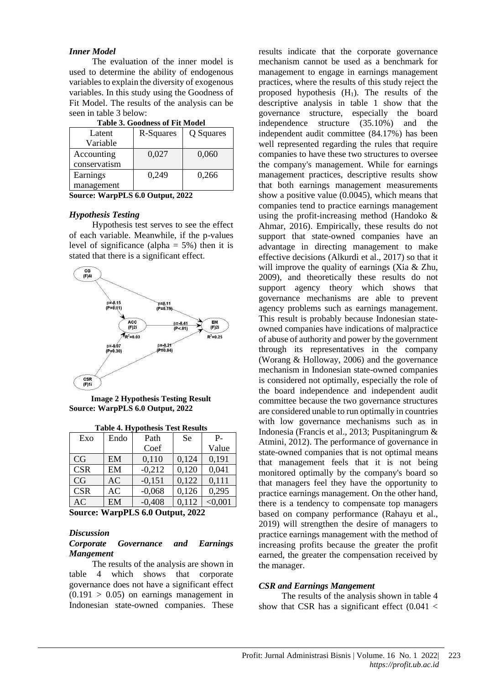#### *Inner Model*

The evaluation of the inner model is used to determine the ability of endogenous variables to explain the diversity of exogenous variables. In this study using the Goodness of Fit Model. The results of the analysis can be seen in table 3 below:

| Table 9. Goodiness of Fit brough |           |           |  |  |  |
|----------------------------------|-----------|-----------|--|--|--|
| Latent                           | R-Squares | Q Squares |  |  |  |
| Variable                         |           |           |  |  |  |
| Accounting                       | 0,027     | 0,060     |  |  |  |
| conservatism                     |           |           |  |  |  |
| Earnings                         | 0,249     | 0,266     |  |  |  |
| management                       |           |           |  |  |  |

|  | <b>Table 3. Goodness of Fit Model</b> |  |
|--|---------------------------------------|--|

**Source: WarpPLS 6.0 Output, 2022**

#### *Hypothesis Testing*

Hypothesis test serves to see the effect of each variable. Meanwhile, if the p-values level of significance (alpha =  $5\%$ ) then it is stated that there is a significant effect.



**Image 2 Hypothesis Testing Result Source: WarpPLS 6.0 Output, 2022**

| Exo        | Endo | Path     | <b>Se</b> | $P -$   |
|------------|------|----------|-----------|---------|
|            |      | Coef     |           | Value   |
| CG         | EM   | 0,110    | 0,124     | 0,191   |
| <b>CSR</b> | EM   | $-0,212$ | 0,120     | 0,041   |
| CG         | AC   | $-0,151$ | 0,122     | 0.111   |
| <b>CSR</b> | AC   | $-0,068$ | 0,126     | 0,295   |
| AC         | EM   | $-0,408$ | 0.112     | < 0.001 |

**Table 4. Hypothesis Test Results**

**Source: WarpPLS 6.0 Output, 2022**

#### *Discussion*

#### *Corporate Governance and Earnings Mangement*

The results of the analysis are shown in table 4 which shows that corporate governance does not have a significant effect  $(0.191 > 0.05)$  on earnings management in Indonesian state-owned companies. These results indicate that the corporate governance mechanism cannot be used as a benchmark for management to engage in earnings management practices, where the results of this study reject the proposed hypothesis  $(H_1)$ . The results of the descriptive analysis in table 1 show that the governance structure, especially the board independence structure (35.10%) and the independent audit committee (84.17%) has been well represented regarding the rules that require companies to have these two structures to oversee the company's management. While for earnings management practices, descriptive results show that both earnings management measurements show a positive value (0.0045), which means that companies tend to practice earnings management using the profit-increasing method (Handoko & Ahmar, 2016). Empirically, these results do not support that state-owned companies have an advantage in directing management to make effective decisions (Alkurdi et al., 2017) so that it will improve the quality of earnings (Xia & Zhu, 2009), and theoretically these results do not support agency theory which shows that governance mechanisms are able to prevent agency problems such as earnings management. This result is probably because Indonesian stateowned companies have indications of malpractice of abuse of authority and power by the government through its representatives in the company (Worang & Holloway, 2006) and the governance mechanism in Indonesian state-owned companies is considered not optimally, especially the role of the board independence and independent audit committee because the two governance structures are considered unable to run optimally in countries with low governance mechanisms such as in Indonesia (Francis et al., 2013; Puspitaningrum & Atmini, 2012). The performance of governance in state-owned companies that is not optimal means that management feels that it is not being monitored optimally by the company's board so that managers feel they have the opportunity to practice earnings management. On the other hand, there is a tendency to compensate top managers based on company performance (Rahayu et al., 2019) will strengthen the desire of managers to practice earnings management with the method of increasing profits because the greater the profit earned, the greater the compensation received by the manager.

#### *CSR and Earnings Mangement*

The results of the analysis shown in table 4 show that CSR has a significant effect  $(0.041 <$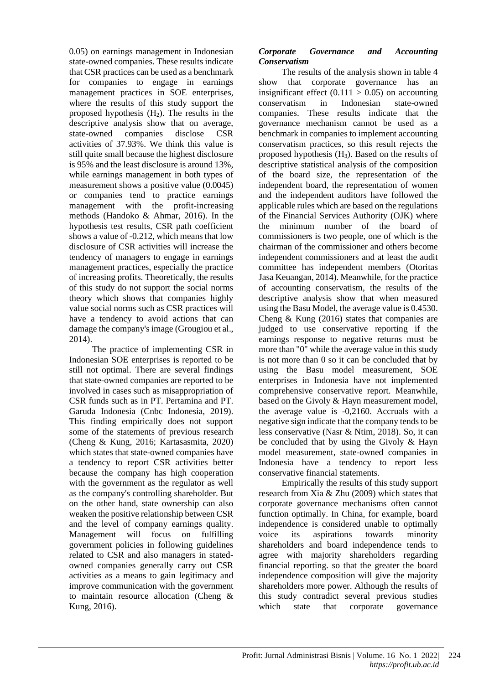0.05) on earnings management in Indonesian state-owned companies. These results indicate that CSR practices can be used as a benchmark for companies to engage in earnings management practices in SOE enterprises, where the results of this study support the proposed hypothesis  $(H_2)$ . The results in the descriptive analysis show that on average, state-owned companies disclose CSR activities of 37.93%. We think this value is still quite small because the highest disclosure is 95% and the least disclosure is around 13%, while earnings management in both types of measurement shows a positive value (0.0045) or companies tend to practice earnings management with the profit-increasing methods (Handoko & Ahmar, 2016). In the hypothesis test results, CSR path coefficient shows a value of -0.212, which means that low disclosure of CSR activities will increase the tendency of managers to engage in earnings management practices, especially the practice of increasing profits. Theoretically, the results of this study do not support the social norms theory which shows that companies highly value social norms such as CSR practices will have a tendency to avoid actions that can damage the company's image (Grougiou et al., 2014).

The practice of implementing CSR in Indonesian SOE enterprises is reported to be still not optimal. There are several findings that state-owned companies are reported to be involved in cases such as misappropriation of CSR funds such as in PT. Pertamina and PT. Garuda Indonesia (Cnbc Indonesia, 2019). This finding empirically does not support some of the statements of previous research (Cheng & Kung, 2016; Kartasasmita, 2020) which states that state-owned companies have a tendency to report CSR activities better because the company has high cooperation with the government as the regulator as well as the company's controlling shareholder. But on the other hand, state ownership can also weaken the positive relationship between CSR and the level of company earnings quality. Management will focus on fulfilling government policies in following guidelines related to CSR and also managers in statedowned companies generally carry out CSR activities as a means to gain legitimacy and improve communication with the government to maintain resource allocation (Cheng & Kung, 2016).

## *Corporate Governance and Accounting Conservatism*

The results of the analysis shown in table 4 show that corporate governance has an insignificant effect  $(0.111 > 0.05)$  on accounting conservatism in Indonesian state-owned companies. These results indicate that the governance mechanism cannot be used as a benchmark in companies to implement accounting conservatism practices, so this result rejects the proposed hypothesis (H3). Based on the results of descriptive statistical analysis of the composition of the board size, the representation of the independent board, the representation of women and the independent auditors have followed the applicable rules which are based on the regulations of the Financial Services Authority (OJK) where the minimum number of the board of commissioners is two people, one of which is the chairman of the commissioner and others become independent commissioners and at least the audit committee has independent members (Otoritas Jasa Keuangan, 2014). Meanwhile, for the practice of accounting conservatism, the results of the descriptive analysis show that when measured using the Basu Model, the average value is 0.4530. Cheng & Kung (2016) states that companies are judged to use conservative reporting if the earnings response to negative returns must be more than "0" while the average value in this study is not more than 0 so it can be concluded that by using the Basu model measurement, SOE enterprises in Indonesia have not implemented comprehensive conservative report. Meanwhile, based on the Givoly & Hayn measurement model, the average value is -0,2160. Accruals with a negative sign indicate that the company tends to be less conservative (Nasr & Ntim, 2018). So, it can be concluded that by using the Givoly & Hayn model measurement, state-owned companies in Indonesia have a tendency to report less conservative financial statements.

Empirically the results of this study support research from Xia & Zhu (2009) which states that corporate governance mechanisms often cannot function optimally. In China, for example, board independence is considered unable to optimally voice its aspirations towards minority shareholders and board independence tends to agree with majority shareholders regarding financial reporting. so that the greater the board independence composition will give the majority shareholders more power. Although the results of this study contradict several previous studies which state that corporate governance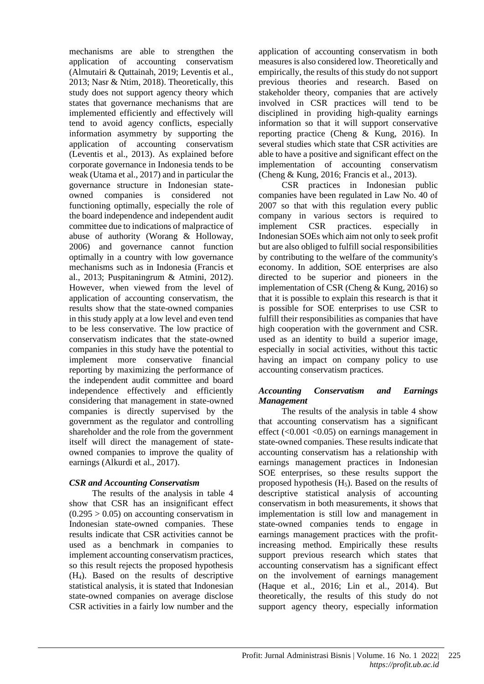mechanisms are able to strengthen the application of accounting conservatism (Almutairi & Quttainah, 2019; Leventis et al., 2013; Nasr & Ntim, 2018). Theoretically, this study does not support agency theory which states that governance mechanisms that are implemented efficiently and effectively will tend to avoid agency conflicts, especially information asymmetry by supporting the application of accounting conservatism (Leventis et al., 2013). As explained before corporate governance in Indonesia tends to be weak (Utama et al., 2017) and in particular the governance structure in Indonesian stateowned companies is considered not functioning optimally, especially the role of the board independence and independent audit committee due to indications of malpractice of abuse of authority (Worang & Holloway, 2006) and governance cannot function optimally in a country with low governance mechanisms such as in Indonesia (Francis et al., 2013; Puspitaningrum & Atmini, 2012). However, when viewed from the level of application of accounting conservatism, the results show that the state-owned companies in this study apply at a low level and even tend to be less conservative. The low practice of conservatism indicates that the state-owned companies in this study have the potential to implement more conservative financial reporting by maximizing the performance of the independent audit committee and board independence effectively and efficiently considering that management in state-owned companies is directly supervised by the government as the regulator and controlling shareholder and the role from the government itself will direct the management of stateowned companies to improve the quality of earnings (Alkurdi et al., 2017).

## *CSR and Accounting Conservatism*

The results of the analysis in table 4 show that CSR has an insignificant effect  $(0.295 > 0.05)$  on accounting conservatism in Indonesian state-owned companies. These results indicate that CSR activities cannot be used as a benchmark in companies to implement accounting conservatism practices, so this result rejects the proposed hypothesis (H4). Based on the results of descriptive statistical analysis, it is stated that Indonesian state-owned companies on average disclose CSR activities in a fairly low number and the

application of accounting conservatism in both measures is also considered low. Theoretically and empirically, the results of this study do not support previous theories and research. Based on stakeholder theory, companies that are actively involved in CSR practices will tend to be disciplined in providing high-quality earnings information so that it will support conservative reporting practice (Cheng  $\&$  Kung, 2016). In several studies which state that CSR activities are able to have a positive and significant effect on the implementation of accounting conservatism (Cheng & Kung, 2016; Francis et al., 2013).

CSR practices in Indonesian public companies have been regulated in Law No. 40 of 2007 so that with this regulation every public company in various sectors is required to implement CSR practices. especially in Indonesian SOEs which aim not only to seek profit but are also obliged to fulfill social responsibilities by contributing to the welfare of the community's economy. In addition, SOE enterprises are also directed to be superior and pioneers in the implementation of CSR (Cheng & Kung, 2016) so that it is possible to explain this research is that it is possible for SOE enterprises to use CSR to fulfill their responsibilities as companies that have high cooperation with the government and CSR. used as an identity to build a superior image, especially in social activities, without this tactic having an impact on company policy to use accounting conservatism practices.

## *Accounting Conservatism and Earnings Management*

The results of the analysis in table 4 show that accounting conservatism has a significant effect  $(<0.001$   $<0.05$ ) on earnings management in state-owned companies. These results indicate that accounting conservatism has a relationship with earnings management practices in Indonesian SOE enterprises, so these results support the proposed hypothesis  $(H_5)$ . Based on the results of descriptive statistical analysis of accounting conservatism in both measurements, it shows that implementation is still low and management in state-owned companies tends to engage in earnings management practices with the profitincreasing method. Empirically these results support previous research which states that accounting conservatism has a significant effect on the involvement of earnings management (Haque et al., 2016; Lin et al., 2014). But theoretically, the results of this study do not support agency theory, especially information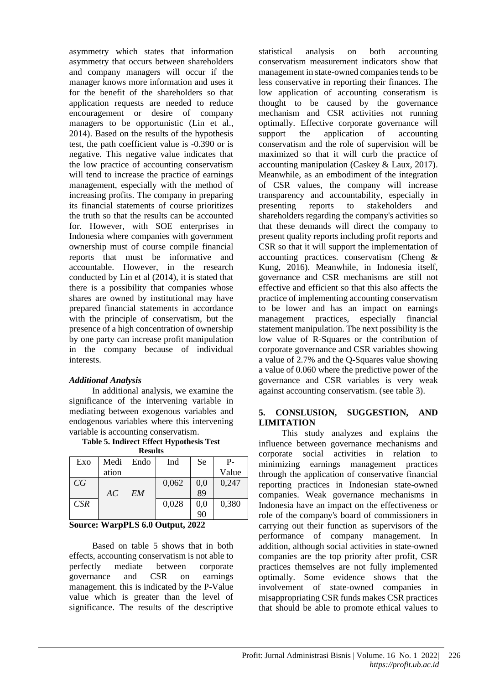asymmetry which states that information asymmetry that occurs between shareholders and company managers will occur if the manager knows more information and uses it for the benefit of the shareholders so that application requests are needed to reduce encouragement or desire of company managers to be opportunistic (Lin et al., 2014). Based on the results of the hypothesis test, the path coefficient value is -0.390 or is negative. This negative value indicates that the low practice of accounting conservatism will tend to increase the practice of earnings management, especially with the method of increasing profits. The company in preparing its financial statements of course prioritizes the truth so that the results can be accounted for. However, with SOE enterprises in Indonesia where companies with government ownership must of course compile financial reports that must be informative and accountable. However, in the research conducted by Lin et al (2014), it is stated that there is a possibility that companies whose shares are owned by institutional may have prepared financial statements in accordance with the principle of conservatism, but the presence of a high concentration of ownership by one party can increase profit manipulation in the company because of individual interests.

#### *Additional Analysis*

In additional analysis, we examine the significance of the intervening variable in mediating between exogenous variables and endogenous variables where this intervening variable is accounting conservatism.

**Table 5. Indirect Effect Hypothesis Test Results**

| --------- |       |      |       |     |       |
|-----------|-------|------|-------|-----|-------|
| Exo       | Medi  | Endo | Ind   | Se  | Р-    |
|           | ation |      |       |     | Value |
| CG        |       |      | 0,062 | 0,0 | 0,247 |
|           | AC    | EM   |       | 89  |       |
| CSR       |       |      | 0,028 | 0,0 | 0,380 |
|           |       |      |       | 90  |       |

#### **Source: WarpPLS 6.0 Output, 2022**

Based on table 5 shows that in both effects, accounting conservatism is not able to perfectly mediate between corporate governance and CSR on earnings management. this is indicated by the P-Value value which is greater than the level of significance. The results of the descriptive statistical analysis on both accounting conservatism measurement indicators show that management in state-owned companies tends to be less conservative in reporting their finances. The low application of accounting conseratism is thought to be caused by the governance mechanism and CSR activities not running optimally. Effective corporate governance will support the application of accounting conservatism and the role of supervision will be maximized so that it will curb the practice of accounting manipulation (Caskey & Laux, 2017). Meanwhile, as an embodiment of the integration of CSR values, the company will increase transparency and accountability, especially in presenting reports to stakeholders and shareholders regarding the company's activities so that these demands will direct the company to present quality reports including profit reports and CSR so that it will support the implementation of accounting practices. conservatism (Cheng & Kung, 2016). Meanwhile, in Indonesia itself, governance and CSR mechanisms are still not effective and efficient so that this also affects the practice of implementing accounting conservatism to be lower and has an impact on earnings management practices, especially financial statement manipulation. The next possibility is the low value of R-Squares or the contribution of corporate governance and CSR variables showing a value of 2.7% and the Q-Squares value showing a value of 0.060 where the predictive power of the governance and CSR variables is very weak against accounting conservatism. (see table 3).

#### **5. CONSLUSION, SUGGESTION, AND LIMITATION**

This study analyzes and explains the influence between governance mechanisms and corporate social activities in relation to minimizing earnings management practices through the application of conservative financial reporting practices in Indonesian state-owned companies. Weak governance mechanisms in Indonesia have an impact on the effectiveness or role of the company's board of commissioners in carrying out their function as supervisors of the performance of company management. In addition, although social activities in state-owned companies are the top priority after profit, CSR practices themselves are not fully implemented optimally. Some evidence shows that the involvement of state-owned companies in misappropriating CSR funds makes CSR practices that should be able to promote ethical values to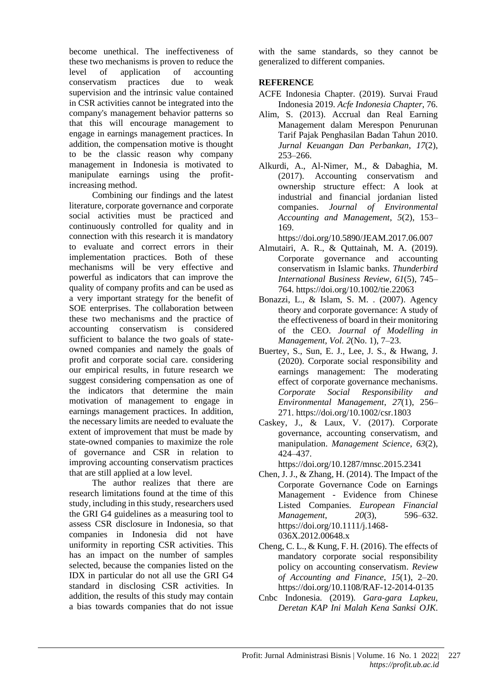become unethical. The ineffectiveness of these two mechanisms is proven to reduce the level of application of accounting conservatism practices due to weak supervision and the intrinsic value contained in CSR activities cannot be integrated into the company's management behavior patterns so that this will encourage management to engage in earnings management practices. In addition, the compensation motive is thought to be the classic reason why company management in Indonesia is motivated to manipulate earnings using the profitincreasing method.

Combining our findings and the latest literature, corporate governance and corporate social activities must be practiced and continuously controlled for quality and in connection with this research it is mandatory to evaluate and correct errors in their implementation practices. Both of these mechanisms will be very effective and powerful as indicators that can improve the quality of company profits and can be used as a very important strategy for the benefit of SOE enterprises. The collaboration between these two mechanisms and the practice of accounting conservatism is considered sufficient to balance the two goals of stateowned companies and namely the goals of profit and corporate social care. considering our empirical results, in future research we suggest considering compensation as one of the indicators that determine the main motivation of management to engage in earnings management practices. In addition, the necessary limits are needed to evaluate the extent of improvement that must be made by state-owned companies to maximize the role of governance and CSR in relation to improving accounting conservatism practices that are still applied at a low level.

The author realizes that there are research limitations found at the time of this study, including in this study, researchers used the GRI G4 guidelines as a measuring tool to assess CSR disclosure in Indonesia, so that companies in Indonesia did not have uniformity in reporting CSR activities. This has an impact on the number of samples selected, because the companies listed on the IDX in particular do not all use the GRI G4 standard in disclosing CSR activities. In addition, the results of this study may contain a bias towards companies that do not issue

with the same standards, so they cannot be generalized to different companies.

## **REFERENCE**

- ACFE Indonesia Chapter. (2019). Survai Fraud Indonesia 2019. *Acfe Indonesia Chapter*, 76.
- Alim, S. (2013). Accrual dan Real Earning Management dalam Merespon Penurunan Tarif Pajak Penghasilan Badan Tahun 2010. *Jurnal Keuangan Dan Perbankan*, *17*(2), 253–266.
- Alkurdi, A., Al-Nimer, M., & Dabaghia, M. (2017). Accounting conservatism and ownership structure effect: A look at industrial and financial jordanian listed companies. *Journal of Environmental Accounting and Management*, *5*(2), 153– 169.

https://doi.org/10.5890/JEAM.2017.06.007

- Almutairi, A. R., & Quttainah, M. A. (2019). Corporate governance and accounting conservatism in Islamic banks. *Thunderbird International Business Review*, *61*(5), 745– 764.<https://doi.org/10.1002/tie.22063>
- Bonazzi, L., & Islam, S. M. . (2007). Agency theory and corporate governance: A study of the effectiveness of board in their monitoring of the CEO. *Journal of Modelling in Management*, *Vol. 2*(No. 1), 7–23.
- Buertey, S., Sun, E. J., Lee, J. S., & Hwang, J. (2020). Corporate social responsibility and earnings management: The moderating effect of corporate governance mechanisms. *Corporate Social Responsibility and Environmental Management*, *27*(1), 256– 271. https://doi.org/10.1002/csr.1803
- Caskey, J., & Laux, V. (2017). Corporate governance, accounting conservatism, and manipulation. *Management Science*, *63*(2), 424–437.

https://doi.org/10.1287/mnsc.2015.2341

- Chen, J. J., & Zhang, H. (2014). The Impact of the Corporate Governance Code on Earnings Management - Evidence from Chinese Listed Companies. *European Financial Management*, *20*(3), 596–632. https://doi.org/10.1111/j.1468- 036X.2012.00648.x
- Cheng, C. L., & Kung, F. H. (2016). The effects of mandatory corporate social responsibility policy on accounting conservatism. *Review of Accounting and Finance*, *15*(1), 2–20. <https://doi.org/10.1108/RAF-12-2014-0135>
- Cnbc Indonesia. (2019). *Gara-gara Lapkeu, Deretan KAP Ini Malah Kena Sanksi OJK*.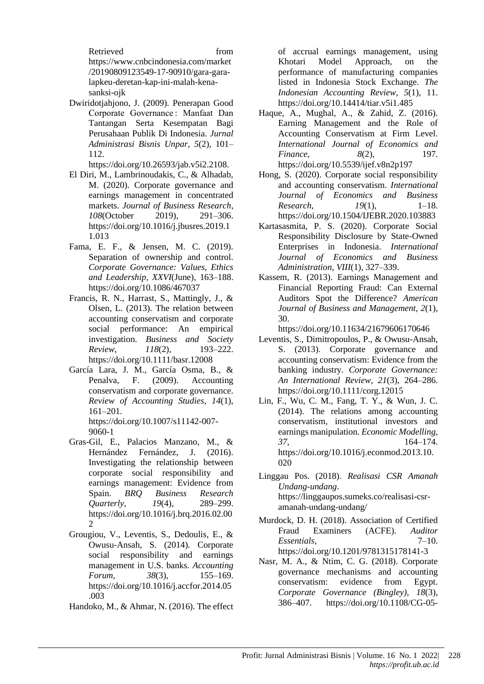Retrieved from [https://www.cnbcindonesia.com/market](https://www.cnbcindonesia.com/market/20190809123549-17-90910/gara-gara-lapkeu-deretan-kap-ini-malah-kena-sanksi-ojk) [/20190809123549-17-90910/gara-gara](https://www.cnbcindonesia.com/market/20190809123549-17-90910/gara-gara-lapkeu-deretan-kap-ini-malah-kena-sanksi-ojk)[lapkeu-deretan-kap-ini-malah-kena](https://www.cnbcindonesia.com/market/20190809123549-17-90910/gara-gara-lapkeu-deretan-kap-ini-malah-kena-sanksi-ojk)[sanksi-ojk](https://www.cnbcindonesia.com/market/20190809123549-17-90910/gara-gara-lapkeu-deretan-kap-ini-malah-kena-sanksi-ojk)

Dwiridotjahjono, J. (2009). Penerapan Good Corporate Governance : Manfaat Dan Tantangan Serta Kesempatan Bagi Perusahaan Publik Di Indonesia. *Jurnal Administrasi Bisnis Unpar*, *5*(2), 101– 112.

https://doi.org/10.26593/jab.v5i2.2108.

- El Diri, M., Lambrinoudakis, C., & Alhadab, M. (2020). Corporate governance and earnings management in concentrated markets. *Journal of Business Research*, *108*(October 2019), 291–306. https://doi.org/10.1016/j.jbusres.2019.1 1.013
- Fama, E. F., & Jensen, M. C. (2019). Separation of ownership and control. *Corporate Governance: Values, Ethics and Leadership*, *XXVI*(June), 163–188. https://doi.org/10.1086/467037
- Francis, R. N., Harrast, S., Mattingly, J., & Olsen, L. (2013). The relation between accounting conservatism and corporate social performance: An empirical investigation. *Business and Society Review*, *118*(2), 193–222. <https://doi.org/10.1111/basr.12008>
- García Lara, J. M., García Osma, B., & Penalva, F. (2009). Accounting conservatism and corporate governance. *Review of Accounting Studies*, *14*(1), 161–201. https://doi.org/10.1007/s11142-007-
- 9060-1 Gras-Gil, E., Palacios Manzano, M., & Hernández Fernández, J. (2016). Investigating the relationship between corporate social responsibility and earnings management: Evidence from Spain. *BRQ Business Research Quarterly*, *19*(4), 289–299. https://doi.org/10.1016/j.brq.2016.02.00 2
- Grougiou, V., Leventis, S., Dedoulis, E., & Owusu-Ansah, S. (2014). Corporate social responsibility and earnings management in U.S. banks. *Accounting Forum*, *38*(3), 155–169. https://doi.org/10.1016/j.accfor.2014.05 .003
- Handoko, M., & Ahmar, N. (2016). The effect

of accrual earnings management, using Khotari Model Approach, on the performance of manufacturing companies listed in Indonesia Stock Exchange. *The Indonesian Accounting Review*, *5*(1), 11. https://doi.org/10.14414/tiar.v5i1.485

- Haque, A., Mughal, A., & Zahid, Z. (2016). Earning Management and the Role of Accounting Conservatism at Firm Level. *International Journal of Economics and Finance*,  $\frac{8(2)}{2}$ , 197. https://doi.org/10.5539/ijef.v8n2p197
- Hong, S. (2020). Corporate social responsibility and accounting conservatism. *International Journal of Economics and Business Research*, *19*(1), 1–18. https://doi.org/10.1504/IJEBR.2020.103883
- Kartasasmita, P. S. (2020). Corporate Social Responsibility Disclosure by State-Owned Enterprises in Indonesia. *International Journal of Economics and Business Administration*, *VIII*(1), 327–339.
- Kassem, R. (2013). Earnings Management and Financial Reporting Fraud: Can External Auditors Spot the Difference? *American Journal of Business and Management*, *2*(1), 30.

https://doi.org/10.11634/21679606170646

- Leventis, S., Dimitropoulos, P., & Owusu-Ansah, S. (2013). Corporate governance and accounting conservatism: Evidence from the banking industry. *Corporate Governance: An International Review*, *21*(3), 264–286. https://doi.org/10.1111/corg.12015
- Lin, F., Wu, C. M., Fang, T. Y., & Wun, J. C. (2014). The relations among accounting conservatism, institutional investors and earnings manipulation. *Economic Modelling*, *37*, 164–174. [https://doi.org/10.1016/j.econmod.2013.10.](https://doi.org/10.1016/j.econmod.2013.10.020) [020](https://doi.org/10.1016/j.econmod.2013.10.020)
- Linggau Pos. (2018). *Realisasi CSR Amanah Undang-undang*. https://linggaupos.sumeks.co/realisasi-csramanah-undang-undang/
- Murdock, D. H. (2018). Association of Certified Fraud Examiners (ACFE). *Auditor Essentials*, 7–10. https://doi.org/10.1201/9781315178141-3
- Nasr, M. A., & Ntim, C. G. (2018). Corporate governance mechanisms and accounting conservatism: evidence from Egypt. *Corporate Governance (Bingley)*, *18*(3), 386–407. https://doi.org/10.1108/CG-05-